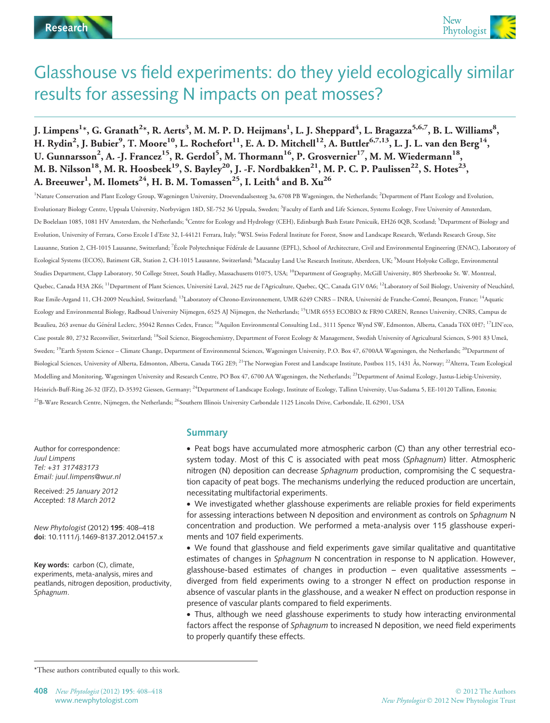

# Glasshouse vs field experiments: do they yield ecologically similar results for assessing N impacts on peat mosses?

J. Limpens<sup>1</sup>\*, G. Granath<sup>2</sup>\*, R. Aerts<sup>3</sup>, M. M. P. D. Heijmans<sup>1</sup>, L. J. Sheppard<sup>4</sup>, L. Bragazza<sup>5,6,7</sup>, B. L. Williams<sup>8</sup>, H. Rydin $^2$ , J. Bubier $^9$ , T. Moore $^{10}$ , L. Rochefort $^{11}$ , E. A. D. Mitchell $^{12}$ , A. Buttler $^{6,7,13}$ , L. J. L. van den Berg $^{14},$ U. Gunnarsson<sup>2</sup>, A. -J. Francez<sup>15</sup>, R. Gerdol<sup>5</sup>, M. Thormann<sup>16</sup>, P. Grosvernier<sup>17</sup>, M. M. Wiedermann<sup>18</sup>, M. B. Nilsson<sup>18</sup>, M. R. Hoosbeek<sup>19</sup>, S. Bayley<sup>20</sup>, J. -F. Nordbakken<sup>21</sup>, M. P. C. P. Paulissen<sup>22</sup>, S. Hotes<sup>23</sup>, A. Breeuwer<sup>1</sup>, M. Ilomets<sup>24</sup>, H. B. M. Tomassen<sup>25</sup>, I. Leith<sup>4</sup> and B. Xu<sup>26</sup>

<sup>1</sup>Nature Conservation and Plant Ecology Group, Wageningen University, Droevendaalsesteeg 3a, 6708 PB Wageningen, the Netherlands; <sup>2</sup>Department of Plant Ecology and Evolution, Evolutionary Biology Centre, Uppsala University, Norbyvägen 18D, SE-752 36 Uppsala, Sweden; <sup>3</sup>Faculty of Earth and Life Sciences, Systems Ecology, Free University of Amsterdam, De Boelelaan 1085, 1081 HV Amsterdam, the Netherlands; <sup>4</sup>Centre for Ecology and Hydrology (CEH), Edinburgh Bush Estate Penicuik, EH26 0QB, Scotland; <sup>5</sup>Department of Biology and Evolution, University of Ferrara, Corso Ercole I d'Este 32, I-44121 Ferrara, Italy; <sup>6</sup>WSL Swiss Federal Institute for Forest, Snow and Landscape Research, Wetlands Research Group, Site Lausanne, Station 2, CH-1015 Lausanne, Switzerland; <sup>7</sup>École Polytechnique Fédérale de Lausanne (EPFL), School of Architecture, Civil and Environmental Engineering (ENAC), Laboratory of Ecological Systems (ECOS), Batiment GR, Station 2, CH-1015 Lausanne, Switzerland; <sup>8</sup> Macaulay Land Use Research Institute, Aberdeen, UK; <sup>9</sup> Mount Holyoke College, Environmental Studies Department, Clapp Laboratory, 50 College Street, South Hadley, Massachusetts 01075, USA; 10Department of Geography, McGill University, 805 Sherbrooke St. W. Montreal, Quebec, Canada H3A 2K6; <sup>11</sup>Department of Plant Sciences, Université Laval, 2425 rue de l'Agriculture, Quebec, QC, Canada G1V 0A6; <sup>12</sup>Laboratory of Soil Biology, University of Neuchâtel, Rue Emile-Argand 11, CH-2009 Neuchâtel, Switzerland; <sup>13</sup>Laboratory of Chrono-Environnement, UMR 6249 CNRS – INRA, Université de Franche-Comté, Besancon, France; <sup>14</sup>Aquatic Ecology and Environmental Biology, Radboud University Nijmegen, 6525 AJ Nijmegen, the Netherlands; <sup>15</sup>UMR 6553 ECOBIO & FR90 CAREN, Rennes University, CNRS, Campus de Beaulieu, 263 avenue du Général Leclerc, 35042 Rennes Cedex, France; <sup>16</sup>Aquilon Environmental Consulting Ltd., 3111 Spence Wynd SW, Edmonton, Alberta, Canada T6X 0H7; <sup>17</sup>LIN'eco, Case postale 80, 2732 Reconvilier, Switzerland; <sup>18</sup>Soil Science, Biogeochemistry, Department of Forest Ecology & Management, Swedish University of Agricultural Sciences, S-901 83 Umeå, Sweden; <sup>19</sup>Earth System Science – Climate Change, Department of Environmental Sciences, Wageningen University, P.O. Box 47, 6700AA Wageningen, the Netherlands; <sup>20</sup>Department of Biological Sciences, University of Alberta, Edmonton, Alberta, Canada T6G 2E9; <sup>21</sup>The Norwegian Forest and Landscape Institute, Postbox 115, 1431 Ås, Norway; <sup>22</sup>Alterra, Team Ecological Modelling and Monitoring, Wageningen University and Research Centre, PO Box 47, 6700 AA Wageningen, the Netherlands; 23Department of Animal Ecology, Justus-Liebig-University, Heinrich-Buff-Ring 26-32 (IFZ), D-35392 Giessen, Germany; <sup>24</sup>Department of Landscape Ecology, Institute of Ecology, Tallinn University, Uus-Sadama 5, EE-10120 Tallinn, Estonia; <sup>25</sup>B-Ware Research Centre, Nijmegen, the Netherlands; <sup>26</sup>Southern Illinois University Carbondale 1125 Lincoln Drive, Carbondale, IL 62901, USA

Author for correspondence: Juul Limpens Tel: +31 317483173 Email: juul.limpens@wur.nl

Received: 25 January 2012 Accepted: 18 March 2012

New Phytologist (2012) 195: 408–418 doi: 10.1111/j.1469-8137.2012.04157.x

Key words: carbon (C), climate, experiments, meta-analysis, mires and peatlands, nitrogen deposition, productivity, Sphagnum.

## **Summary**

• Peat bogs have accumulated more atmospheric carbon (C) than any other terrestrial ecosystem today. Most of this C is associated with peat moss (Sphagnum) litter. Atmospheric nitrogen (N) deposition can decrease Sphagnum production, compromising the C sequestration capacity of peat bogs. The mechanisms underlying the reduced production are uncertain, necessitating multifactorial experiments.

• We investigated whether glasshouse experiments are reliable proxies for field experiments for assessing interactions between N deposition and environment as controls on Sphagnum N concentration and production. We performed a meta-analysis over 115 glasshouse experiments and 107 field experiments.

• We found that glasshouse and field experiments gave similar qualitative and quantitative estimates of changes in Sphagnum N concentration in response to N application. However, glasshouse-based estimates of changes in production – even qualitative assessments – diverged from field experiments owing to a stronger N effect on production response in absence of vascular plants in the glasshouse, and a weaker N effect on production response in presence of vascular plants compared to field experiments.

• Thus, although we need glasshouse experiments to study how interacting environmental factors affect the response of Sphagnum to increased N deposition, we need field experiments to properly quantify these effects.

<sup>\*</sup>These authors contributed equally to this work.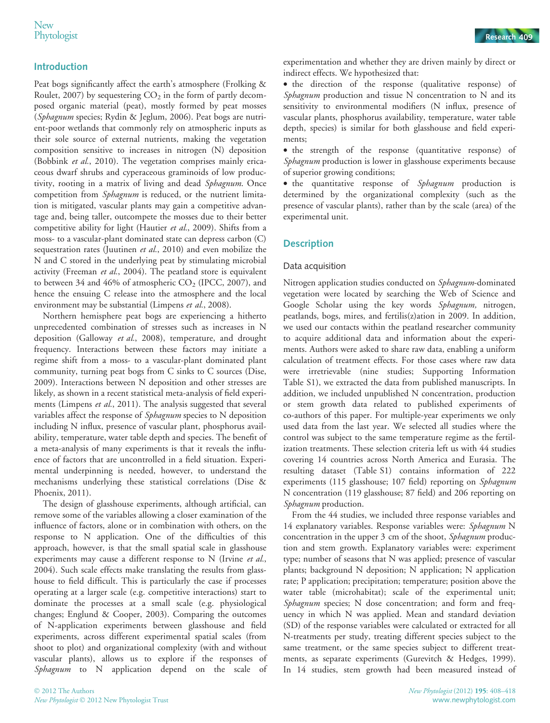# Introduction

Peat bogs significantly affect the earth's atmosphere (Frolking & Roulet, 2007) by sequestering  $CO<sub>2</sub>$  in the form of partly decomposed organic material (peat), mostly formed by peat mosses (Sphagnum species; Rydin & Jeglum, 2006). Peat bogs are nutrient-poor wetlands that commonly rely on atmospheric inputs as their sole source of external nutrients, making the vegetation composition sensitive to increases in nitrogen (N) deposition (Bobbink et al., 2010). The vegetation comprises mainly ericaceous dwarf shrubs and cyperaceous graminoids of low productivity, rooting in a matrix of living and dead Sphagnum. Once competition from Sphagnum is reduced, or the nutrient limitation is mitigated, vascular plants may gain a competitive advantage and, being taller, outcompete the mosses due to their better competitive ability for light (Hautier et al., 2009). Shifts from a moss- to a vascular-plant dominated state can depress carbon (C) sequestration rates (Juutinen et al., 2010) and even mobilize the N and C stored in the underlying peat by stimulating microbial activity (Freeman et al., 2004). The peatland store is equivalent to between 34 and 46% of atmospheric  $CO<sub>2</sub>$  (IPCC, 2007), and hence the ensuing C release into the atmosphere and the local environment may be substantial (Limpens et al., 2008).

Northern hemisphere peat bogs are experiencing a hitherto unprecedented combination of stresses such as increases in N deposition (Galloway et al., 2008), temperature, and drought frequency. Interactions between these factors may initiate a regime shift from a moss- to a vascular-plant dominated plant community, turning peat bogs from C sinks to C sources (Dise, 2009). Interactions between N deposition and other stresses are likely, as shown in a recent statistical meta-analysis of field experiments (Limpens et al., 2011). The analysis suggested that several variables affect the response of Sphagnum species to N deposition including N influx, presence of vascular plant, phosphorus availability, temperature, water table depth and species. The benefit of a meta-analysis of many experiments is that it reveals the influence of factors that are uncontrolled in a field situation. Experimental underpinning is needed, however, to understand the mechanisms underlying these statistical correlations (Dise & Phoenix, 2011).

The design of glasshouse experiments, although artificial, can remove some of the variables allowing a closer examination of the influence of factors, alone or in combination with others, on the response to N application. One of the difficulties of this approach, however, is that the small spatial scale in glasshouse experiments may cause a different response to N (Irvine et al., 2004). Such scale effects make translating the results from glasshouse to field difficult. This is particularly the case if processes operating at a larger scale (e.g. competitive interactions) start to dominate the processes at a small scale (e.g. physiological changes; Englund & Cooper, 2003). Comparing the outcomes of N-application experiments between glasshouse and field experiments, across different experimental spatial scales (from shoot to plot) and organizational complexity (with and without vascular plants), allows us to explore if the responses of Sphagnum to N application depend on the scale of experimentation and whether they are driven mainly by direct or indirect effects. We hypothesized that:

• the direction of the response (qualitative response) of Sphagnum production and tissue N concentration to N and its sensitivity to environmental modifiers (N influx, presence of vascular plants, phosphorus availability, temperature, water table depth, species) is similar for both glasshouse and field experiments;

• the strength of the response (quantitative response) of Sphagnum production is lower in glasshouse experiments because of superior growing conditions;

• the quantitative response of Sphagnum production is determined by the organizational complexity (such as the presence of vascular plants), rather than by the scale (area) of the experimental unit.

# **Description**

#### Data acquisition

Nitrogen application studies conducted on Sphagnum-dominated vegetation were located by searching the Web of Science and Google Scholar using the key words Sphagnum, nitrogen, peatlands, bogs, mires, and fertilis(z)ation in 2009. In addition, we used our contacts within the peatland researcher community to acquire additional data and information about the experiments. Authors were asked to share raw data, enabling a uniform calculation of treatment effects. For those cases where raw data were irretrievable (nine studies; Supporting Information Table S1), we extracted the data from published manuscripts. In addition, we included unpublished N concentration, production or stem growth data related to published experiments of co-authors of this paper. For multiple-year experiments we only used data from the last year. We selected all studies where the control was subject to the same temperature regime as the fertilization treatments. These selection criteria left us with 44 studies covering 14 countries across North America and Eurasia. The resulting dataset (Table S1) contains information of 222 experiments (115 glasshouse; 107 field) reporting on Sphagnum N concentration (119 glasshouse; 87 field) and 206 reporting on Sphagnum production.

From the 44 studies, we included three response variables and 14 explanatory variables. Response variables were: Sphagnum N concentration in the upper 3 cm of the shoot, Sphagnum production and stem growth. Explanatory variables were: experiment type; number of seasons that N was applied; presence of vascular plants; background N deposition; N application; N application rate; P application; precipitation; temperature; position above the water table (microhabitat); scale of the experimental unit; Sphagnum species; N dose concentration; and form and frequency in which N was applied. Mean and standard deviation (SD) of the response variables were calculated or extracted for all N-treatments per study, treating different species subject to the same treatment, or the same species subject to different treatments, as separate experiments (Gurevitch & Hedges, 1999). In 14 studies, stem growth had been measured instead of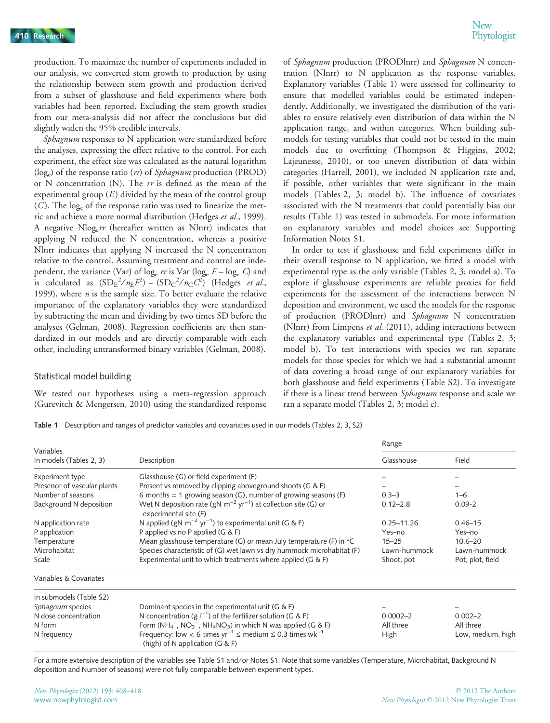production. To maximize the number of experiments included in our analysis, we converted stem growth to production by using the relationship between stem growth and production derived from a subset of glasshouse and field experiments where both variables had been reported. Excluding the stem growth studies from our meta-analysis did not affect the conclusions but did slightly widen the 95% credible intervals.

Sphagnum responses to N application were standardized before the analyses, expressing the effect relative to the control. For each experiment, the effect size was calculated as the natural logarithm  $(log_e)$  of the response ratio  $(rr)$  of *Sphagnum* production (PROD) or N concentration (N). The  $rr$  is defined as the mean of the experimental group  $(E)$  divided by the mean of the control group  $(C)$ . The log<sub>e</sub> of the response ratio was used to linearize the metric and achieve a more normal distribution (Hedges et al., 1999). A negative  $Nlog_e rr$  (hereafter written as Nlnrr) indicates that applying N reduced the N concentration, whereas a positive Nlnrr indicates that applying N increased the N concentration relative to the control. Assuming treatment and control are independent, the variance (Var) of  $log_e rr$  is Var ( $log_e E - log_e C$ ) and is calculated as  $(SD_E^2/n_E E^2) + (SD_C^2/n_C C^2)$  (Hedges *et al.*, 1999), where  $n$  is the sample size. To better evaluate the relative importance of the explanatory variables they were standardized by subtracting the mean and dividing by two times SD before the analyses (Gelman, 2008). Regression coefficients are then standardized in our models and are directly comparable with each other, including untransformed binary variables (Gelman, 2008).

#### Statistical model building

We tested our hypotheses using a meta-regression approach (Gurevitch & Mengersen, 2010) using the standardized response of Sphagnum production (PRODlnrr) and Sphagnum N concentration (Nlnrr) to N application as the response variables. Explanatory variables (Table 1) were assessed for collinearity to ensure that modelled variables could be estimated independently. Additionally, we investigated the distribution of the variables to ensure relatively even distribution of data within the N application range, and within categories. When building submodels for testing variables that could not be tested in the main models due to overfitting (Thompson & Higgins, 2002; Lajeunesse, 2010), or too uneven distribution of data within categories (Harrell, 2001), we included N application rate and, if possible, other variables that were significant in the main models (Tables 2, 3; model b). The influence of covariates associated with the N treatments that could potentially bias our results (Table 1) was tested in submodels. For more information on explanatory variables and model choices see Supporting Information Notes S1.

In order to test if glasshouse and field experiments differ in their overall response to N application, we fitted a model with experimental type as the only variable (Tables 2, 3; model a). To explore if glasshouse experiments are reliable proxies for field experiments for the assessment of the interactions between N deposition and environment, we used the models for the response of production (PRODlnrr) and Sphagnum N concentration (Nlnrr) from Limpens et al. (2011), adding interactions between the explanatory variables and experimental type (Tables 2, 3; model b). To test interactions with species we ran separate models for those species for which we had a substantial amount of data covering a broad range of our explanatory variables for both glasshouse and field experiments (Table S2). To investigate if there is a linear trend between Sphagnum response and scale we ran a separate model (Tables 2, 3; model c).

Table 1 Description and ranges of predictor variables and covariates used in our models (Tables 2, 3, S2)

| Variables                   |                                                                                                                                      | Range          |                   |  |
|-----------------------------|--------------------------------------------------------------------------------------------------------------------------------------|----------------|-------------------|--|
| In models (Tables 2, 3)     | Description                                                                                                                          | Glasshouse     | Field             |  |
| <b>Experiment type</b>      | Glasshouse (G) or field experiment (F)                                                                                               |                |                   |  |
| Presence of vascular plants | Present vs removed by clipping aboveground shoots (G & F)                                                                            |                |                   |  |
| Number of seasons           | 6 months = 1 growing season (G), number of growing seasons (F)                                                                       | $0.3 - 3$      | $1 - 6$           |  |
| Background N deposition     | Wet N deposition rate (gN $m^{-2}$ yr <sup>-1</sup> ) at collection site (G) or<br>experimental site (F)                             | $0.12 - 2.8$   | $0.09 - 2$        |  |
| N application rate          | N applied (gN $m^{-2}$ yr <sup>-1</sup> ) to experimental unit (G & F)                                                               | $0.25 - 11.26$ | $0.46 - 15$       |  |
| P application               | P applied vs no P applied (G & F)                                                                                                    | Yes-no         | Yes-no            |  |
| Temperature                 | Mean glasshouse temperature (G) or mean July temperature (F) in $\degree$ C                                                          | $15 - 25$      | $10.6 - 20$       |  |
| Microhabitat                | Species characteristic of (G) wet lawn vs dry hummock microhabitat (F)                                                               | Lawn-hummock   | Lawn-hummock      |  |
| Scale                       | Experimental unit to which treatments where applied (G & F)                                                                          | Shoot, pot     | Pot, plot, field  |  |
| Variables & Covariates      |                                                                                                                                      |                |                   |  |
| In submodels (Table S2)     |                                                                                                                                      |                |                   |  |
| Sphagnum species            | Dominant species in the experimental unit (G & F)                                                                                    |                |                   |  |
| N dose concentration        | N concentration (g $ ^{-1}$ ) of the fertilizer solution (G & F)                                                                     | $0.0002 - 2$   | $0.002 - 2$       |  |
| N form                      | Form (NH <sub>4</sub> <sup>+</sup> , NO <sub>3</sub> <sup>-</sup> , NH <sub>4</sub> NO <sub>3</sub> ) in which N was applied (G & F) | All three      | All three         |  |
| N frequency                 | Frequency: low < 6 times $yr^{-1} \le$ medium $\le$ 0.3 times wk <sup>-1</sup><br>(high) of N application ( $G$ & F)                 | High           | Low, medium, high |  |

For a more extensive description of the variables see Table S1 and/or Notes S1. Note that some variables (Temperature, Microhabitat, Background N deposition and Number of seasons) were not fully comparable between experiment types.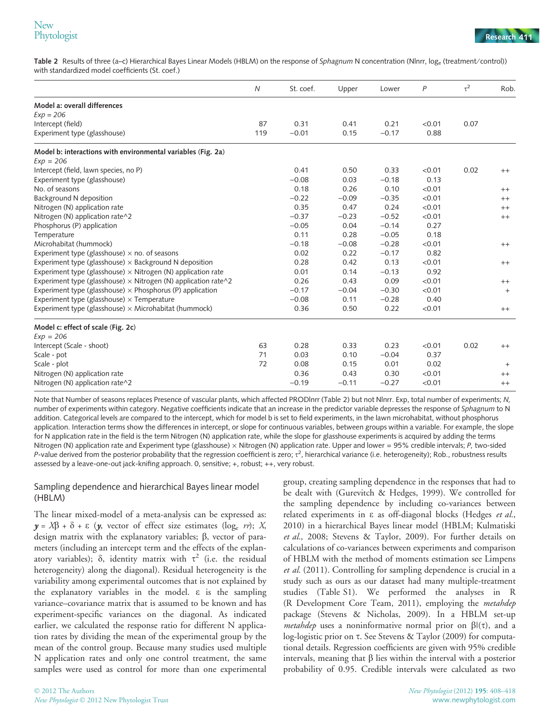Table 2 Results of three (a–c) Hierarchical Bayes Linear Models (HBLM) on the response of Sphagnum N concentration (Nlnrr, loge (treatment/control)) with standardized model coefficients (St. coef.)

|                                                                        | N   | St. coef. | Upper   | Lower   | P      | $\tau^2$ | Rob.    |
|------------------------------------------------------------------------|-----|-----------|---------|---------|--------|----------|---------|
| Model a: overall differences                                           |     |           |         |         |        |          |         |
| $Exp = 206$                                                            |     |           |         |         |        |          |         |
| Intercept (field)                                                      | 87  | 0.31      | 0.41    | 0.21    | < 0.01 | 0.07     |         |
| Experiment type (glasshouse)                                           | 119 | $-0.01$   | 0.15    | $-0.17$ | 0.88   |          |         |
| Model b: interactions with environmental variables (Fig. 2a)           |     |           |         |         |        |          |         |
| $Exp = 206$                                                            |     |           |         |         |        |          |         |
| Intercept (field, lawn species, no P)                                  |     | 0.41      | 0.50    | 0.33    | < 0.01 | 0.02     | $++$    |
| Experiment type (glasshouse)                                           |     | $-0.08$   | 0.03    | $-0.18$ | 0.13   |          |         |
| No. of seasons                                                         |     | 0.18      | 0.26    | 0.10    | < 0.01 |          | $++$    |
| Background N deposition                                                |     | $-0.22$   | $-0.09$ | $-0.35$ | < 0.01 |          | $++$    |
| Nitrogen (N) application rate                                          |     | 0.35      | 0.47    | 0.24    | < 0.01 |          | $++$    |
| Nitrogen (N) application rate^2                                        |     | $-0.37$   | $-0.23$ | $-0.52$ | < 0.01 |          | $++$    |
| Phosphorus (P) application                                             |     | $-0.05$   | 0.04    | $-0.14$ | 0.27   |          |         |
| Temperature                                                            |     | 0.11      | 0.28    | $-0.05$ | 0.18   |          |         |
| Microhabitat (hummock)                                                 |     | $-0.18$   | $-0.08$ | $-0.28$ | < 0.01 |          | $++$    |
| Experiment type (glasshouse) $\times$ no. of seasons                   |     | 0.02      | 0.22    | $-0.17$ | 0.82   |          |         |
| Experiment type (glasshouse) $\times$ Background N deposition          |     | 0.28      | 0.42    | 0.13    | < 0.01 |          | $^{++}$ |
| Experiment type (glasshouse) $\times$ Nitrogen (N) application rate    |     | 0.01      | 0.14    | $-0.13$ | 0.92   |          |         |
| Experiment type (glasshouse) $\times$ Nitrogen (N) application rate ^2 |     | 0.26      | 0.43    | 0.09    | < 0.01 |          | $++$    |
| Experiment type (glasshouse) $\times$ Phosphorus (P) application       |     | $-0.17$   | $-0.04$ | $-0.30$ | < 0.01 |          | $^{+}$  |
| Experiment type (glasshouse) $\times$ Temperature                      |     | $-0.08$   | 0.11    | $-0.28$ | 0.40   |          |         |
| Experiment type (glasshouse) $\times$ Microhabitat (hummock)           |     | 0.36      | 0.50    | 0.22    | < 0.01 |          | $++$    |
| Model c: effect of scale (Fig. 2c)                                     |     |           |         |         |        |          |         |
| $Exp = 206$                                                            |     |           |         |         |        |          |         |
| Intercept (Scale - shoot)                                              | 63  | 0.28      | 0.33    | 0.23    | < 0.01 | 0.02     | $++$    |
| Scale - pot                                                            | 71  | 0.03      | 0.10    | $-0.04$ | 0.37   |          |         |
| Scale - plot                                                           | 72  | 0.08      | 0.15    | 0.01    | 0.02   |          | $^{+}$  |
| Nitrogen (N) application rate                                          |     | 0.36      | 0.43    | 0.30    | < 0.01 |          | $++$    |
| Nitrogen (N) application rate^2                                        |     | $-0.19$   | $-0.11$ | $-0.27$ | < 0.01 |          | $++$    |

Note that Number of seasons replaces Presence of vascular plants, which affected PRODlnrr (Table 2) but not Nlnrr. Exp, total number of experiments; N, number of experiments within category. Negative coefficients indicate that an increase in the predictor variable depresses the response of Sphagnum to N addition. Categorical levels are compared to the intercept, which for model b is set to field experiments, in the lawn microhabitat, without phosphorus application. Interaction terms show the differences in intercept, or slope for continuous variables, between groups within a variable. For example, the slope for N application rate in the field is the term Nitrogen (N) application rate, while the slope for glasshouse experiments is acquired by adding the terms Nitrogen (N) application rate and Experiment type (glasshouse) × Nitrogen (N) application rate. Upper and lower = 95% credible intervals; P, two-sided P-value derived from the posterior probability that the regression coefficient is zero;  $\tau^2$ , hierarchical variance (i.e. heterogeneity); Rob., robustness results assessed by a leave-one-out jack-knifing approach. 0, sensitive; +, robust; ++, very robust.

# Sampling dependence and hierarchical Bayes linear model (HBLM)

The linear mixed-model of a meta-analysis can be expressed as:  $\gamma = X\beta + \delta + \varepsilon$  ( $\gamma$ , vector of effect size estimates (log<sub>e rr)</sub>; X, design matrix with the explanatory variables;  $\beta$ , vector of parameters (including an intercept term and the effects of the explanatory variables);  $\delta$ , identity matrix with  $\tau^2$  (i.e. the residual heterogeneity) along the diagonal). Residual heterogeneity is the variability among experimental outcomes that is not explained by the explanatory variables in the model. e is the sampling variance–covariance matrix that is assumed to be known and has experiment-specific variances on the diagonal. As indicated earlier, we calculated the response ratio for different N application rates by dividing the mean of the experimental group by the mean of the control group. Because many studies used multiple N application rates and only one control treatment, the same samples were used as control for more than one experimental

group, creating sampling dependence in the responses that had to be dealt with (Gurevitch & Hedges, 1999). We controlled for the sampling dependence by including co-variances between related experiments in  $\varepsilon$  as off-diagonal blocks (Hedges et al., 2010) in a hierarchical Bayes linear model (HBLM; Kulmatiski et al., 2008; Stevens & Taylor, 2009). For further details on calculations of co-variances between experiments and comparison of HBLM with the method of moments estimation see Limpens et al. (2011). Controlling for sampling dependence is crucial in a study such as ours as our dataset had many multiple-treatment studies (Table S1). We performed the analyses in R (R Development Core Team, 2011), employing the metahdep package (Stevens & Nicholas, 2009). In a HBLM set-up metahdep uses a noninformative normal prior on  $\beta$ l(t), and a log-logistic prior on τ. See Stevens & Taylor (2009) for computational details. Regression coefficients are given with 95% credible intervals, meaning that  $\beta$  lies within the interval with a posterior probability of 0.95. Credible intervals were calculated as two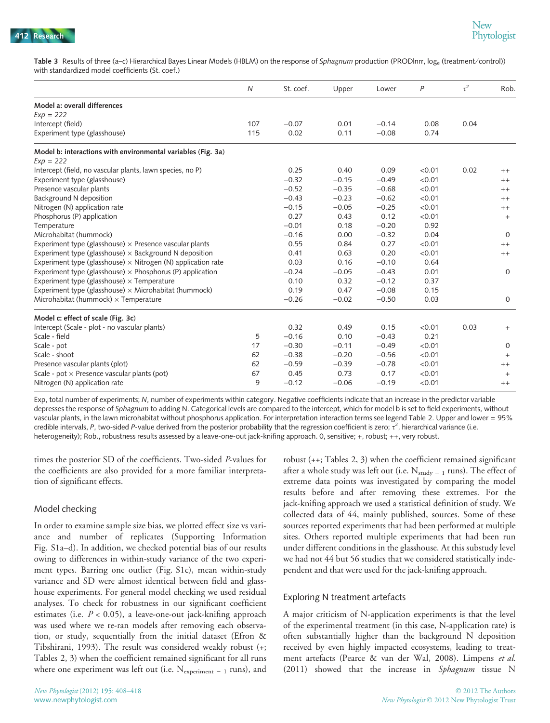Table 3 Results of three (a–c) Hierarchical Bayes Linear Models (HBLM) on the response of Sphagnum production (PRODInrr, loge (treatment/control)) with standardized model coefficients (St. coef.)

|                                                                     | N   | St. coef. | Upper   | Lower   | $\overline{P}$ | $\tau^2$ | Rob.         |
|---------------------------------------------------------------------|-----|-----------|---------|---------|----------------|----------|--------------|
| Model a: overall differences                                        |     |           |         |         |                |          |              |
| $Exp = 222$                                                         |     |           |         |         |                |          |              |
| Intercept (field)                                                   | 107 | $-0.07$   | 0.01    | $-0.14$ | 0.08           | 0.04     |              |
| Experiment type (glasshouse)                                        | 115 | 0.02      | 0.11    | $-0.08$ | 0.74           |          |              |
| Model b: interactions with environmental variables (Fig. 3a)        |     |           |         |         |                |          |              |
| $Exp = 222$                                                         |     |           |         |         |                |          |              |
| Intercept (field, no vascular plants, lawn species, no P)           |     | 0.25      | 0.40    | 0.09    | < 0.01         | 0.02     | $++$         |
| Experiment type (glasshouse)                                        |     | $-0.32$   | $-0.15$ | $-0.49$ | < 0.01         |          | $++$         |
| Presence vascular plants                                            |     | $-0.52$   | $-0.35$ | $-0.68$ | < 0.01         |          | $^{++}$      |
| Background N deposition                                             |     | $-0.43$   | $-0.23$ | $-0.62$ | < 0.01         |          | $++$         |
| Nitrogen (N) application rate                                       |     | $-0.15$   | $-0.05$ | $-0.25$ | < 0.01         |          | $++$         |
| Phosphorus (P) application                                          |     | 0.27      | 0.43    | 0.12    | < 0.01         |          | $^{+}$       |
| Temperature                                                         |     | $-0.01$   | 0.18    | $-0.20$ | 0.92           |          |              |
| Microhabitat (hummock)                                              |     | $-0.16$   | 0.00    | $-0.32$ | 0.04           |          | $\mathbf{0}$ |
| Experiment type (glasshouse) $\times$ Presence vascular plants      |     | 0.55      | 0.84    | 0.27    | < 0.01         |          | $^{++}$      |
| Experiment type (glasshouse) $\times$ Background N deposition       |     | 0.41      | 0.63    | 0.20    | < 0.01         |          | $++$         |
| Experiment type (glasshouse) $\times$ Nitrogen (N) application rate |     | 0.03      | 0.16    | $-0.10$ | 0.64           |          |              |
| Experiment type (glasshouse) $\times$ Phosphorus (P) application    |     | $-0.24$   | $-0.05$ | $-0.43$ | 0.01           |          | $\mathbf{O}$ |
| Experiment type (glasshouse) $\times$ Temperature                   |     | 0.10      | 0.32    | $-0.12$ | 0.37           |          |              |
| Experiment type (glasshouse) $\times$ Microhabitat (hummock)        |     | 0.19      | 0.47    | $-0.08$ | 0.15           |          |              |
| Microhabitat (hummock) $\times$ Temperature                         |     | $-0.26$   | $-0.02$ | $-0.50$ | 0.03           |          | $\mathbf 0$  |
| Model c: effect of scale (Fig. 3c)                                  |     |           |         |         |                |          |              |
| Intercept (Scale - plot - no vascular plants)                       |     | 0.32      | 0.49    | 0.15    | < 0.01         | 0.03     | $^{+}$       |
| Scale - field                                                       | 5   | $-0.16$   | 0.10    | $-0.43$ | 0.21           |          |              |
| Scale - pot                                                         | 17  | $-0.30$   | $-0.11$ | $-0.49$ | < 0.01         |          | 0            |
| Scale - shoot                                                       | 62  | $-0.38$   | $-0.20$ | $-0.56$ | < 0.01         |          | $+$          |
| Presence vascular plants (plot)                                     | 62  | $-0.59$   | $-0.39$ | $-0.78$ | < 0.01         |          | $++$         |
| Scale - pot $\times$ Presence vascular plants (pot)                 | 67  | 0.45      | 0.73    | 0.17    | < 0.01         |          | $+$          |
| Nitrogen (N) application rate                                       | 9   | $-0.12$   | $-0.06$ | $-0.19$ | < 0.01         |          | $++$         |

Exp, total number of experiments; N, number of experiments within category. Negative coefficients indicate that an increase in the predictor variable depresses the response of Sphagnum to adding N. Categorical levels are compared to the intercept, which for model b is set to field experiments, without vascular plants, in the lawn microhabitat without phosphorus application. For interpretation interaction terms see legend Table 2. Upper and lower = 95% credible intervals, P, two-sided P-value derived from the posterior probability that the regression coefficient is zero;  $\tau^2$ , hierarchical variance (i.e. heterogeneity); Rob., robustness results assessed by a leave-one-out jack-knifing approach. 0, sensitive; +, robust; ++, very robust.

times the posterior SD of the coefficients. Two-sided P-values for the coefficients are also provided for a more familiar interpretation of significant effects.

## Model checking

In order to examine sample size bias, we plotted effect size vs variance and number of replicates (Supporting Information Fig. S1a–d). In addition, we checked potential bias of our results owing to differences in within-study variance of the two experiment types. Barring one outlier (Fig. S1c), mean within-study variance and SD were almost identical between field and glasshouse experiments. For general model checking we used residual analyses. To check for robustness in our significant coefficient estimates (i.e.  $P < 0.05$ ), a leave-one-out jack-knifing approach was used where we re-ran models after removing each observation, or study, sequentially from the initial dataset (Efron & Tibshirani, 1993). The result was considered weakly robust (+; Tables 2, 3) when the coefficient remained significant for all runs where one experiment was left out (i.e.  $N_{\text{experiment } - 1}$  runs), and

robust (++; Tables 2, 3) when the coefficient remained significant after a whole study was left out (i.e.  $N_{study - 1}$  runs). The effect of extreme data points was investigated by comparing the model results before and after removing these extremes. For the jack-knifing approach we used a statistical definition of study. We collected data of 44, mainly published, sources. Some of these sources reported experiments that had been performed at multiple sites. Others reported multiple experiments that had been run under different conditions in the glasshouse. At this substudy level we had not 44 but 56 studies that we considered statistically independent and that were used for the jack-knifing approach.

## Exploring N treatment artefacts

A major criticism of N-application experiments is that the level of the experimental treatment (in this case, N-application rate) is often substantially higher than the background N deposition received by even highly impacted ecosystems, leading to treatment artefacts (Pearce & van der Wal, 2008). Limpens et al. (2011) showed that the increase in Sphagnum tissue N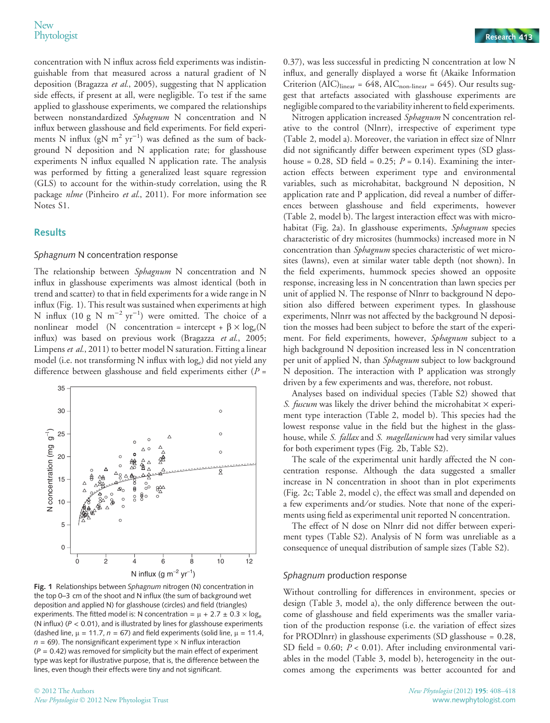concentration with N influx across field experiments was indistinguishable from that measured across a natural gradient of N deposition (Bragazza et al., 2005), suggesting that N application side effects, if present at all, were negligible. To test if the same applied to glasshouse experiments, we compared the relationships between nonstandardized Sphagnum N concentration and N influx between glasshouse and field experiments. For field experiments N influx (gN  $m^2$  yr<sup>-1</sup>) was defined as the sum of background N deposition and N application rate; for glasshouse experiments N influx equalled N application rate. The analysis was performed by fitting a generalized least square regression (GLS) to account for the within-study correlation, using the R package nlme (Pinheiro et al., 2011). For more information see Notes S1.

## **Results**

#### Sphagnum N concentration response

The relationship between Sphagnum N concentration and N influx in glasshouse experiments was almost identical (both in trend and scatter) to that in field experiments for a wide range in N influx (Fig. 1). This result was sustained when experiments at high N influx  $(10 \text{ g N m}^{-2} \text{ yr}^{-1})$  were omitted. The choice of a nonlinear model (N concentration = intercept +  $\beta \times \log_e(N)$ influx) was based on previous work (Bragazza et al., 2005; Limpens et al., 2011) to better model N saturation. Fitting a linear model (i.e. not transforming N influx with loge) did not yield any difference between glasshouse and field experiments either  $(P =$ 



Fig. 1 Relationships between Sphagnum nitrogen (N) concentration in the top 0–3 cm of the shoot and N influx (the sum of background wet deposition and applied N) for glasshouse (circles) and field (triangles) experiments. The fitted model is: N concentration =  $\mu$  + 2.7  $\pm$  0.3  $\times$  log<sub>e</sub> (N influx) ( $P < 0.01$ ), and is illustrated by lines for glasshouse experiments (dashed line,  $\mu = 11.7$ ,  $n = 67$ ) and field experiments (solid line,  $\mu = 11.4$ ,  $n = 69$ ). The nonsignificant experiment type  $\times$  N influx interaction  $(P = 0.42)$  was removed for simplicity but the main effect of experiment type was kept for illustrative purpose, that is, the difference between the lines, even though their effects were tiny and not significant.

0.37), was less successful in predicting N concentration at low N influx, and generally displayed a worse fit (Akaike Information Criterion (AIC)<sub>linear</sub> = 648, AIC<sub>non-linear</sub> = 645). Our results suggest that artefacts associated with glasshouse experiments are negligible compared to the variability inherent to field experiments.

Nitrogen application increased Sphagnum N concentration relative to the control (Nlnrr), irrespective of experiment type (Table 2, model a). Moreover, the variation in effect size of Nlnrr did not significantly differ between experiment types (SD glasshouse = 0.28, SD field = 0.25;  $P = 0.14$ ). Examining the interaction effects between experiment type and environmental variables, such as microhabitat, background N deposition, N application rate and P application, did reveal a number of differences between glasshouse and field experiments, however (Table 2, model b). The largest interaction effect was with microhabitat (Fig. 2a). In glasshouse experiments, Sphagnum species characteristic of dry microsites (hummocks) increased more in N concentration than Sphagnum species characteristic of wet microsites (lawns), even at similar water table depth (not shown). In the field experiments, hummock species showed an opposite response, increasing less in N concentration than lawn species per unit of applied N. The response of Nlnrr to background N deposition also differed between experiment types. In glasshouse experiments, Nlnrr was not affected by the background N deposition the mosses had been subject to before the start of the experiment. For field experiments, however, Sphagnum subject to a high background N deposition increased less in N concentration per unit of applied N, than Sphagnum subject to low background N deposition. The interaction with P application was strongly driven by a few experiments and was, therefore, not robust.

Analyses based on individual species (Table S2) showed that S. fuscum was likely the driver behind the microhabitat  $\times$  experiment type interaction (Table 2, model b). This species had the lowest response value in the field but the highest in the glasshouse, while S. fallax and S. magellanicum had very similar values for both experiment types (Fig. 2b, Table S2).

The scale of the experimental unit hardly affected the N concentration response. Although the data suggested a smaller increase in N concentration in shoot than in plot experiments (Fig. 2c; Table 2, model c), the effect was small and depended on a few experiments and/or studies. Note that none of the experiments using field as experimental unit reported N concentration.

The effect of N dose on Nlnrr did not differ between experiment types (Table S2). Analysis of N form was unreliable as a consequence of unequal distribution of sample sizes (Table S2).

# Sphagnum production response

Without controlling for differences in environment, species or design (Table 3, model a), the only difference between the outcome of glasshouse and field experiments was the smaller variation of the production response (i.e. the variation of effect sizes for PRODlnrr) in glasshouse experiments (SD glasshouse = 0.28, SD field =  $0.60; P < 0.01$ ). After including environmental variables in the model (Table 3, model b), heterogeneity in the outcomes among the experiments was better accounted for and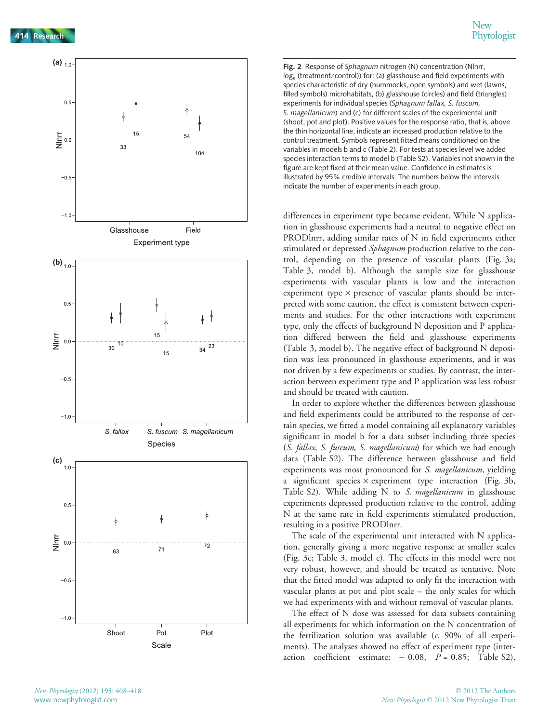

Fig. 2 Response of Sphagnum nitrogen (N) concentration (Nlnrr,  $\log_{\mathrm{e}}$  (treatment/control)) for: (a) glasshouse and field experiments with species characteristic of dry (hummocks, open symbols) and wet (lawns, filled symbols) microhabitats, (b) glasshouse (circles) and field (triangles) experiments for individual species (Sphagnum fallax, S. fuscum, S. magellanicum) and (c) for different scales of the experimental unit (shoot, pot and plot). Positive values for the response ratio, that is, above the thin horizontal line, indicate an increased production relative to the control treatment. Symbols represent fitted means conditioned on the variables in models b and c (Table 2). For tests at species level we added species interaction terms to model b (Table S2). Variables not shown in the figure are kept fixed at their mean value. Confidence in estimates is illustrated by 95% credible intervals. The numbers below the intervals indicate the number of experiments in each group.

differences in experiment type became evident. While N application in glasshouse experiments had a neutral to negative effect on PRODlnrr, adding similar rates of N in field experiments either stimulated or depressed Sphagnum production relative to the control, depending on the presence of vascular plants (Fig. 3a; Table 3, model b). Although the sample size for glasshouse experiments with vascular plants is low and the interaction experiment type  $\times$  presence of vascular plants should be interpreted with some caution, the effect is consistent between experiments and studies. For the other interactions with experiment type, only the effects of background N deposition and P application differed between the field and glasshouse experiments (Table 3, model b). The negative effect of background N deposition was less pronounced in glasshouse experiments, and it was not driven by a few experiments or studies. By contrast, the interaction between experiment type and P application was less robust and should be treated with caution.

In order to explore whether the differences between glasshouse and field experiments could be attributed to the response of certain species, we fitted a model containing all explanatory variables significant in model b for a data subset including three species (S. fallax, S. fuscum, S. magellanicum) for which we had enough data (Table S2). The difference between glasshouse and field experiments was most pronounced for S. magellanicum, yielding a significant species × experiment type interaction (Fig. 3b, Table S2). While adding N to S. magellanicum in glasshouse experiments depressed production relative to the control, adding N at the same rate in field experiments stimulated production, resulting in a positive PRODlnrr.

The scale of the experimental unit interacted with N application, generally giving a more negative response at smaller scales (Fig. 3c; Table 3, model c). The effects in this model were not very robust, however, and should be treated as tentative. Note that the fitted model was adapted to only fit the interaction with vascular plants at pot and plot scale – the only scales for which we had experiments with and without removal of vascular plants.

The effect of N dose was assessed for data subsets containing all experiments for which information on the N concentration of the fertilization solution was available (c. 90% of all experiments). The analyses showed no effect of experiment type (interaction coefficient estimate:  $-0.08$ ,  $P = 0.85$ ; Table S2).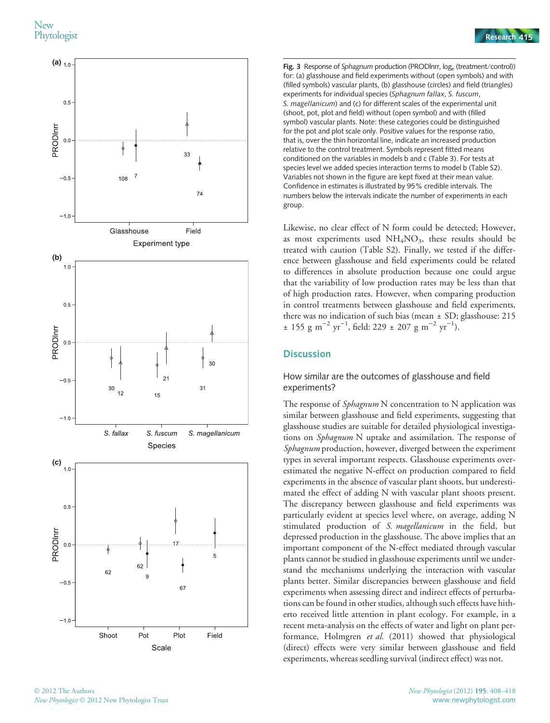

Fig. 3 Response of Sphagnum production (PRODInrr, log<sub>e</sub> (treatment/control)) for: (a) glasshouse and field experiments without (open symbols) and with (filled symbols) vascular plants, (b) glasshouse (circles) and field (triangles) experiments for individual species (Sphagnum fallax, S. fuscum, S. magellanicum) and (c) for different scales of the experimental unit (shoot, pot, plot and field) without (open symbol) and with (filled symbol) vascular plants. Note: these categories could be distinguished for the pot and plot scale only. Positive values for the response ratio, that is, over the thin horizontal line, indicate an increased production relative to the control treatment. Symbols represent fitted means conditioned on the variables in models b and c (Table 3). For tests at species level we added species interaction terms to model b (Table S2). Variables not shown in the figure are kept fixed at their mean value. Confidence in estimates is illustrated by 95% credible intervals. The numbers below the intervals indicate the number of experiments in each group.

Likewise, no clear effect of N form could be detected; However, as most experiments used  $NH<sub>4</sub>NO<sub>3</sub>$ , these results should be treated with caution (Table S2). Finally, we tested if the difference between glasshouse and field experiments could be related to differences in absolute production because one could argue that the variability of low production rates may be less than that of high production rates. However, when comparing production in control treatments between glasshouse and field experiments, there was no indication of such bias (mean ± SD; glasshouse: 215  $\pm$  155 g m<sup>-2</sup> yr<sup>-1</sup>, field: 229  $\pm$  207 g m<sup>-2</sup> yr<sup>-1</sup>).

# **Discussion**

## How similar are the outcomes of glasshouse and field experiments?

The response of *Sphagnum* N concentration to N application was similar between glasshouse and field experiments, suggesting that glasshouse studies are suitable for detailed physiological investigations on Sphagnum N uptake and assimilation. The response of Sphagnum production, however, diverged between the experiment types in several important respects. Glasshouse experiments overestimated the negative N-effect on production compared to field experiments in the absence of vascular plant shoots, but underestimated the effect of adding N with vascular plant shoots present. The discrepancy between glasshouse and field experiments was particularly evident at species level where, on average, adding N stimulated production of S. magellanicum in the field, but depressed production in the glasshouse. The above implies that an important component of the N-effect mediated through vascular plants cannot be studied in glasshouse experiments until we understand the mechanisms underlying the interaction with vascular plants better. Similar discrepancies between glasshouse and field experiments when assessing direct and indirect effects of perturbations can be found in other studies, although such effects have hitherto received little attention in plant ecology. For example, in a recent meta-analysis on the effects of water and light on plant performance, Holmgren et al. (2011) showed that physiological (direct) effects were very similar between glasshouse and field experiments, whereas seedling survival (indirect effect) was not.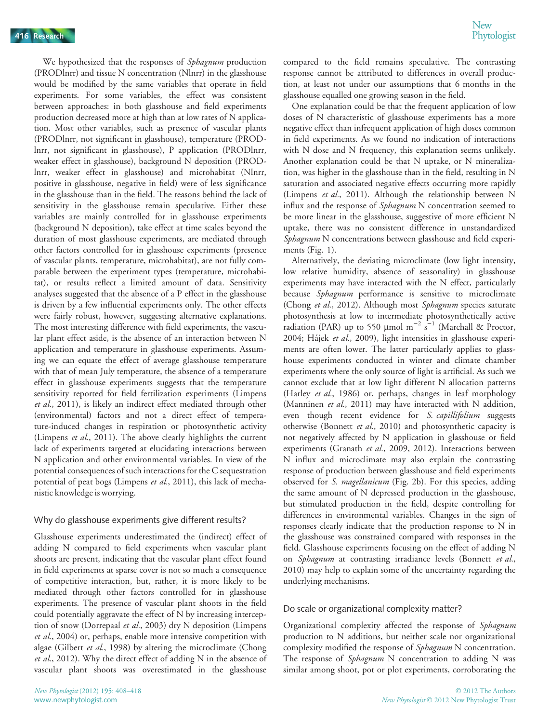We hypothesized that the responses of *Sphagnum* production (PRODlnrr) and tissue N concentration (Nlnrr) in the glasshouse would be modified by the same variables that operate in field experiments. For some variables, the effect was consistent between approaches: in both glasshouse and field experiments production decreased more at high than at low rates of N application. Most other variables, such as presence of vascular plants (PRODlnrr, not significant in glasshouse), temperature (PRODlnrr, not significant in glasshouse), P application (PRODlnrr, weaker effect in glasshouse), background N deposition (PRODlnrr, weaker effect in glasshouse) and microhabitat (Nlnrr, positive in glasshouse, negative in field) were of less significance in the glasshouse than in the field. The reasons behind the lack of sensitivity in the glasshouse remain speculative. Either these variables are mainly controlled for in glasshouse experiments (background N deposition), take effect at time scales beyond the duration of most glasshouse experiments, are mediated through other factors controlled for in glasshouse experiments (presence of vascular plants, temperature, microhabitat), are not fully comparable between the experiment types (temperature, microhabitat), or results reflect a limited amount of data. Sensitivity analyses suggested that the absence of a P effect in the glasshouse is driven by a few influential experiments only. The other effects were fairly robust, however, suggesting alternative explanations. The most interesting difference with field experiments, the vascular plant effect aside, is the absence of an interaction between N application and temperature in glasshouse experiments. Assuming we can equate the effect of average glasshouse temperature with that of mean July temperature, the absence of a temperature effect in glasshouse experiments suggests that the temperature sensitivity reported for field fertilization experiments (Limpens et al., 2011), is likely an indirect effect mediated through other (environmental) factors and not a direct effect of temperature-induced changes in respiration or photosynthetic activity (Limpens et al., 2011). The above clearly highlights the current lack of experiments targeted at elucidating interactions between N application and other environmental variables. In view of the potential consequences of such interactions for the C sequestration potential of peat bogs (Limpens et al., 2011), this lack of mechanistic knowledge is worrying.

#### Why do glasshouse experiments give different results?

Glasshouse experiments underestimated the (indirect) effect of adding N compared to field experiments when vascular plant shoots are present, indicating that the vascular plant effect found in field experiments at sparse cover is not so much a consequence of competitive interaction, but, rather, it is more likely to be mediated through other factors controlled for in glasshouse experiments. The presence of vascular plant shoots in the field could potentially aggravate the effect of N by increasing interception of snow (Dorrepaal et al., 2003) dry N deposition (Limpens et al., 2004) or, perhaps, enable more intensive competition with algae (Gilbert et al., 1998) by altering the microclimate (Chong et al., 2012). Why the direct effect of adding N in the absence of vascular plant shoots was overestimated in the glasshouse

compared to the field remains speculative. The contrasting response cannot be attributed to differences in overall production, at least not under our assumptions that 6 months in the glasshouse equalled one growing season in the field.

One explanation could be that the frequent application of low doses of N characteristic of glasshouse experiments has a more negative effect than infrequent application of high doses common in field experiments. As we found no indication of interactions with N dose and N frequency, this explanation seems unlikely. Another explanation could be that N uptake, or N mineralization, was higher in the glasshouse than in the field, resulting in N saturation and associated negative effects occurring more rapidly (Limpens et al., 2011). Although the relationship between N influx and the response of *Sphagnum* N concentration seemed to be more linear in the glasshouse, suggestive of more efficient N uptake, there was no consistent difference in unstandardized Sphagnum N concentrations between glasshouse and field experiments (Fig. 1).

Alternatively, the deviating microclimate (low light intensity, low relative humidity, absence of seasonality) in glasshouse experiments may have interacted with the N effect, particularly because Sphagnum performance is sensitive to microclimate (Chong et al., 2012). Although most Sphagnum species saturate photosynthesis at low to intermediate photosynthetically active radiation (PAR) up to 550 µmol m<sup>-2</sup> s<sup>-1</sup> (Marchall & Proctor, 2004; Hájek et al., 2009), light intensities in glasshouse experiments are often lower. The latter particularly applies to glasshouse experiments conducted in winter and climate chamber experiments where the only source of light is artificial. As such we cannot exclude that at low light different N allocation patterns (Harley et al., 1986) or, perhaps, changes in leaf morphology (Manninen et al., 2011) may have interacted with N addition, even though recent evidence for S. capillifolium suggests otherwise (Bonnett et al., 2010) and photosynthetic capacity is not negatively affected by N application in glasshouse or field experiments (Granath et al., 2009, 2012). Interactions between N influx and microclimate may also explain the contrasting response of production between glasshouse and field experiments observed for S. magellanicum (Fig. 2b). For this species, adding the same amount of N depressed production in the glasshouse, but stimulated production in the field, despite controlling for differences in environmental variables. Changes in the sign of responses clearly indicate that the production response to N in the glasshouse was constrained compared with responses in the field. Glasshouse experiments focusing on the effect of adding N on Sphagnum at contrasting irradiance levels (Bonnett et al., 2010) may help to explain some of the uncertainty regarding the underlying mechanisms.

#### Do scale or organizational complexity matter?

Organizational complexity affected the response of Sphagnum production to N additions, but neither scale nor organizational complexity modified the response of *Sphagnum* N concentration. The response of Sphagnum N concentration to adding N was similar among shoot, pot or plot experiments, corroborating the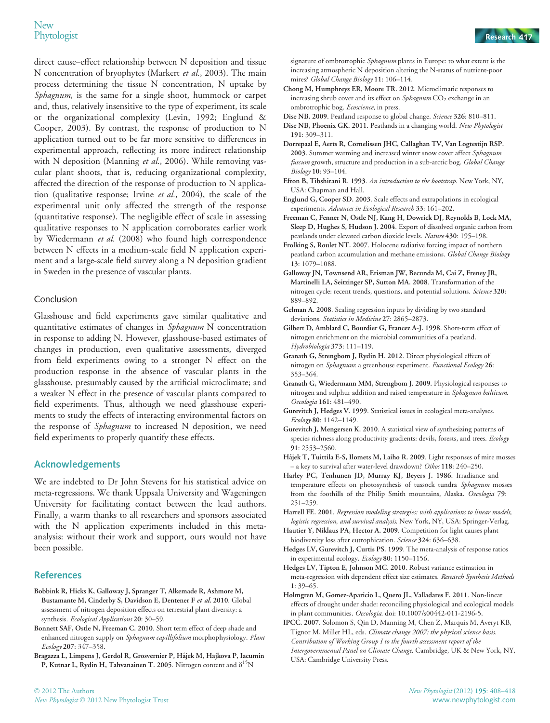direct cause–effect relationship between N deposition and tissue N concentration of bryophytes (Markert et al., 2003). The main process determining the tissue N concentration, N uptake by Sphagnum, is the same for a single shoot, hummock or carpet and, thus, relatively insensitive to the type of experiment, its scale or the organizational complexity (Levin, 1992; Englund & Cooper, 2003). By contrast, the response of production to N application turned out to be far more sensitive to differences in experimental approach, reflecting its more indirect relationship with N deposition (Manning et al., 2006). While removing vascular plant shoots, that is, reducing organizational complexity, affected the direction of the response of production to N application (qualitative response; Irvine et al., 2004), the scale of the experimental unit only affected the strength of the response (quantitative response). The negligible effect of scale in assessing qualitative responses to N application corroborates earlier work by Wiedermann et al. (2008) who found high correspondence between N effects in a medium-scale field N application experiment and a large-scale field survey along a N deposition gradient in Sweden in the presence of vascular plants.

## Conclusion

Glasshouse and field experiments gave similar qualitative and quantitative estimates of changes in Sphagnum N concentration in response to adding N. However, glasshouse-based estimates of changes in production, even qualitative assessments, diverged from field experiments owing to a stronger N effect on the production response in the absence of vascular plants in the glasshouse, presumably caused by the artificial microclimate; and a weaker N effect in the presence of vascular plants compared to field experiments. Thus, although we need glasshouse experiments to study the effects of interacting environmental factors on the response of Sphagnum to increased N deposition, we need field experiments to properly quantify these effects.

#### Acknowledgements

We are indebted to Dr John Stevens for his statistical advice on meta-regressions. We thank Uppsala University and Wageningen University for facilitating contact between the lead authors. Finally, a warm thanks to all researchers and sponsors associated with the N application experiments included in this metaanalysis: without their work and support, ours would not have been possible.

## References

- Bobbink R, Hicks K, Galloway J, Spranger T, Alkemade R, Ashmore M, Bustamante M, Cinderby S, Davidson E, Dentener F et al. 2010. Global assessment of nitrogen deposition effects on terrestrial plant diversity: a synthesis. Ecological Applications 20: 30–59.
- Bonnett SAF, Ostle N, Freeman C. 2010. Short term effect of deep shade and enhanced nitrogen supply on Sphagnum capillifolium morphophysiology. Plant Ecology 207: 347–358.
- Bragazza L, Limpens J, Gerdol R, Grosvernier P, Ha´jek M, Hajkova P, Iacumin P, Kutnar L, Rydin H, Tahvanainen T. 2005. Nitrogen content and  $\delta^{15}N$



signature of ombrotrophic Sphagnum plants in Europe: to what extent is the increasing atmospheric N deposition altering the N-status of nutrient-poor mires? Global Change Biology 11: 106–114.

- Chong M, Humphreys ER, Moore TR. 2012. Microclimatic responses to increasing shrub cover and its effect on  $Sphagnum$  CO<sub>2</sub> exchange in an ombrotrophic bog. Ecoscience, in press.
- Dise NB. 2009. Peatland response to global change. Science 326: 810-811.
- Dise NB, Phoenix GK. 2011. Peatlands in a changing world. New Phytologist 191: 309–311.
- Dorrepaal E, Aerts R, Cornelissen JHC, Callaghan TV, Van Logtestijn RSP. 2003. Summer warming and increased winter snow cover affect Sphagnum fuscum growth, structure and production in a sub-arctic bog. Global Change Biology 10: 93–104.
- Efron B, Tibshirani R. 1993. An introduction to the bootstrap. New York, NY, USA: Chapman and Hall.
- Englund G, Cooper SD. 2003. Scale effects and extrapolations in ecological experiments. Advances in Ecological Research 33: 161–202.
- Freeman C, Fenner N, Ostle NJ, Kang H, Dowrick DJ, Reynolds B, Lock MA, Sleep D, Hughes S, Hudson J. 2004. Export of dissolved organic carbon from peatlands under elevated carbon dioxide levels. Nature 430: 195-198.
- Frolking S, Roulet NT. 2007. Holocene radiative forcing impact of northern peatland carbon accumulation and methane emissions. Global Change Biology 13: 1079–1088.
- Galloway JN, Townsend AR, Erisman JW, Becunda M, Cai Z, Freney JR, Martinelli LA, Seitzinger SP, Sutton MA. 2008. Transformation of the nitrogen cycle: recent trends, questions, and potential solutions. Science 320: 889–892.
- Gelman A. 2008. Scaling regression inputs by dividing by two standard deviations. Statistics in Medicine 27: 2865–2873.
- Gilbert D, Amblard C, Bourdier G, Francez A-J. 1998. Short-term effect of nitrogen enrichment on the microbial communities of a peatland. Hydrobiologia 373: 111–119.
- Granath G, Strengbom J, Rydin H. 2012. Direct physiological effects of nitrogen on Sphagnum: a greenhouse experiment. Functional Ecology 26: 353–364.
- Granath G, Wiedermann MM, Strengbom J. 2009. Physiological responses to nitrogen and sulphur addition and raised temperature in Sphagnum balticum. Oecologia 161: 481–490.
- Gurevitch J, Hedges V. 1999. Statistical issues in ecological meta-analyses. Ecology 80: 1142–1149.
- Gurevitch J, Mengersen K. 2010. A statistical view of synthesizing patterns of species richness along productivity gradients: devils, forests, and trees. Ecology 91: 2553–2560.
- Hájek T, Tuittila E-S, Ilomets M, Laiho R. 2009. Light responses of mire mosses - a key to survival after water-level drawdown? Oikos 118: 240-250.
- Harley PC, Tenhunen JD, Murray KJ, Beyers J. 1986. Irradiance and temperature effects on photosynthesis of tussock tundra Sphagnum mosses from the foothills of the Philip Smith mountains, Alaska. Oecologia 79: 251–259.
- Harrell FE. 2001. Regression modeling strategies: with applications to linear models, logistic regression, and survival analysis. New York, NY, USA: Springer-Verlag.
- Hautier Y, Niklaus PA, Hector A. 2009. Competition for light causes plant biodiversity loss after eutrophication. Science 324: 636–638.
- Hedges LV, Gurevitch J, Curtis PS. 1999. The meta-analysis of response ratios in experimental ecology. Ecology 80: 1150–1156.
- Hedges LV, Tipton E, Johnson MC. 2010. Robust variance estimation in meta-regression with dependent effect size estimates. Research Synthesis Methods 1: 39–65.
- Holmgren M, Gomez-Aparicio L, Quero JL, Valladares F. 2011. Non-linear effects of drought under shade: reconciling physiological and ecological models in plant communities. Oecologia. doi: 10.1007/s00442-011-2196-5.
- IPCC. 2007. Solomon S, Qin D, Manning M, Chen Z, Marquis M, Averyt KB, Tignor M, Miller HL, eds. Climate change 2007: the physical science basis. Contribution of Working Group I to the fourth assessment report of the Intergovernmental Panel on Climate Change. Cambridge, UK & New York, NY, USA: Cambridge University Press.